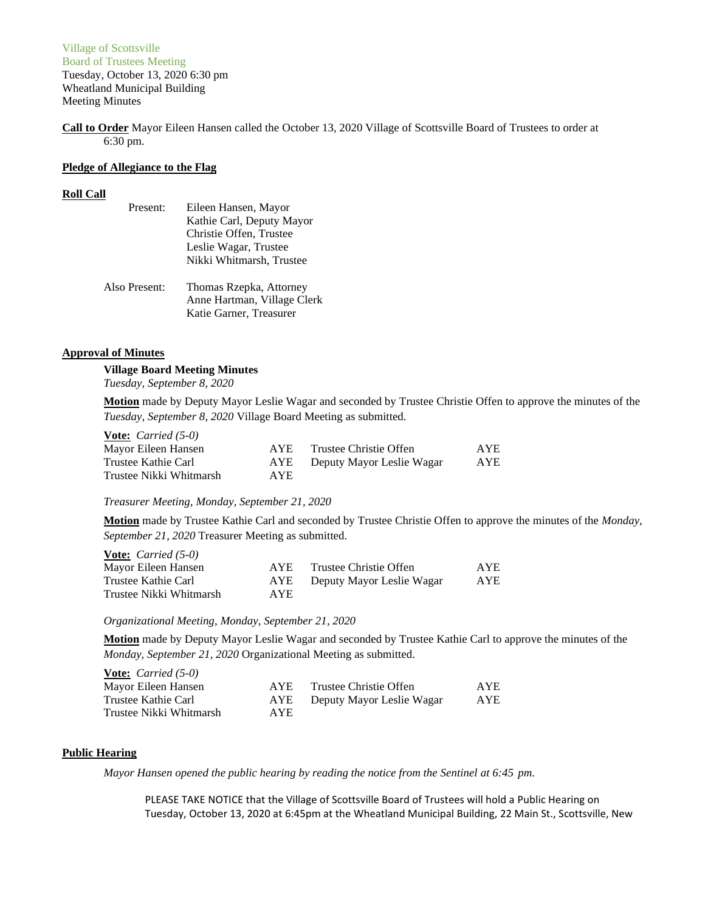# Village of Scottsville Board of Trustees Meeting Tuesday, October 13, 2020 6:30 pm Wheatland Municipal Building Meeting Minutes

**Call to Order** Mayor Eileen Hansen called the October 13, 2020 Village of Scottsville Board of Trustees to order at 6:30 pm.

### **Pledge of Allegiance to the Flag**

### **Roll Call**

| Present:      | Eileen Hansen, Mayor        |  |  |
|---------------|-----------------------------|--|--|
|               | Kathie Carl, Deputy Mayor   |  |  |
|               | Christie Offen, Trustee     |  |  |
|               | Leslie Wagar, Trustee       |  |  |
|               | Nikki Whitmarsh, Trustee    |  |  |
| Also Present: | Thomas Rzepka, Attorney     |  |  |
|               | Anne Hartman, Village Clerk |  |  |
|               | Katie Garner, Treasurer     |  |  |

### **Approval of Minutes**

# **Village Board Meeting Minutes**

*Tuesday, September 8, 2020*

**Motion** made by Deputy Mayor Leslie Wagar and seconded by Trustee Christie Offen to approve the minutes of the *Tuesday, September 8, 2020* Village Board Meeting as submitted.

| <b><u>Vote:</u></b> <i>Carried</i> $(5-0)$ |      |                           |            |
|--------------------------------------------|------|---------------------------|------------|
| Mayor Eileen Hansen                        | AYE. | Trustee Christie Offen    | <b>AYE</b> |
| Trustee Kathie Carl                        | AYE  | Deputy Mayor Leslie Wagar | <b>AYE</b> |
| Trustee Nikki Whitmarsh                    | AYE. |                           |            |

*Treasurer Meeting, Monday, September 21, 2020*

**Motion** made by Trustee Kathie Carl and seconded by Trustee Christie Offen to approve the minutes of the *Monday, September 21, 2020* Treasurer Meeting as submitted.

| <b><u>Vote:</u></b> <i>Carried</i> $(5-0)$ |      |                           |            |
|--------------------------------------------|------|---------------------------|------------|
| Mayor Eileen Hansen                        | AYE. | Trustee Christie Offen    | <b>AYE</b> |
| Trustee Kathie Carl                        | AYE  | Deputy Mayor Leslie Wagar | <b>AYE</b> |
| Trustee Nikki Whitmarsh                    | AYE. |                           |            |

*Organizational Meeting, Monday, September 21, 2020*

**Motion** made by Deputy Mayor Leslie Wagar and seconded by Trustee Kathie Carl to approve the minutes of the *Monday, September 21, 2020* Organizational Meeting as submitted.

| <b><u>Vote:</u></b> <i>Carried</i> $(5-0)$ |            |                           |            |
|--------------------------------------------|------------|---------------------------|------------|
| Mayor Eileen Hansen                        | AYE.       | Trustee Christie Offen    | <b>AYE</b> |
| Trustee Kathie Carl                        | AYE.       | Deputy Mayor Leslie Wagar | AYE        |
| Trustee Nikki Whitmarsh                    | <b>AYE</b> |                           |            |

# **Public Hearing**

*Mayor Hansen opened the public hearing by reading the notice from the Sentinel at 6:45 pm.*

PLEASE TAKE NOTICE that the Village of Scottsville Board of Trustees will hold a Public Hearing on Tuesday, October 13, 2020 at 6:45pm at the Wheatland Municipal Building, 22 Main St., Scottsville, New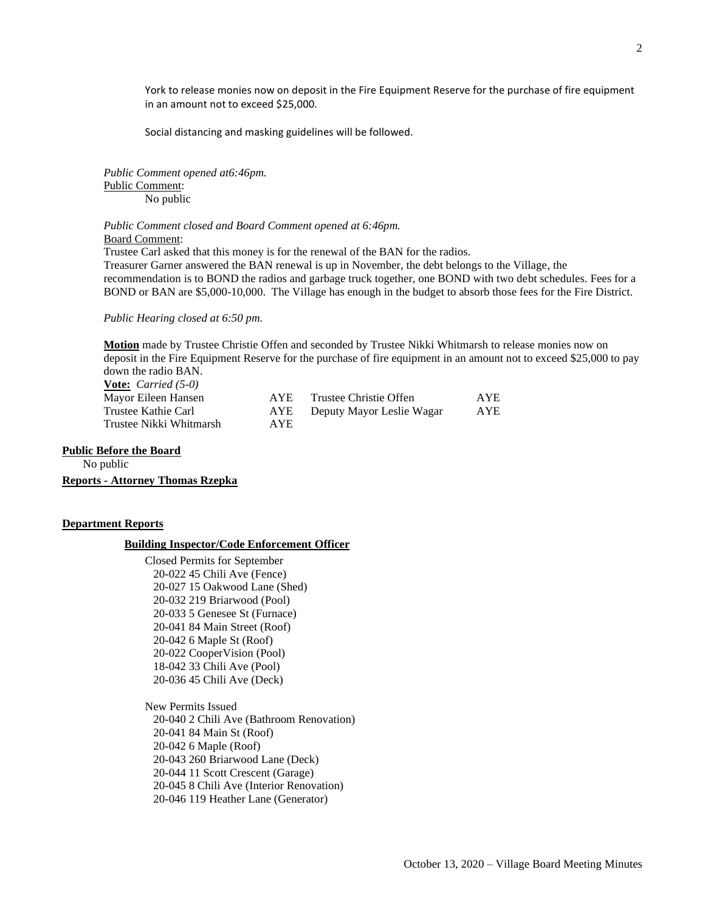York to release monies now on deposit in the Fire Equipment Reserve for the purchase of fire equipment in an amount not to exceed \$25,000.

Social distancing and masking guidelines will be followed.

*Public Comment opened at6:46pm.* Public Comment: No public

*Public Comment closed and Board Comment opened at 6:46pm.* Board Comment:

Trustee Carl asked that this money is for the renewal of the BAN for the radios. Treasurer Garner answered the BAN renewal is up in November, the debt belongs to the Village, the recommendation is to BOND the radios and garbage truck together, one BOND with two debt schedules. Fees for a BOND or BAN are \$5,000-10,000. The Village has enough in the budget to absorb those fees for the Fire District.

*Public Hearing closed at 6:50 pm.*

**Motion** made by Trustee Christie Offen and seconded by Trustee Nikki Whitmarsh to release monies now on deposit in the Fire Equipment Reserve for the purchase of fire equipment in an amount not to exceed \$25,000 to pay down the radio BAN. **Vote:** *Carried (5-0)*

| Mayor Eileen Hansen     | AYE        | Trustee Christie Offen    | <b>AYE</b> |
|-------------------------|------------|---------------------------|------------|
| Trustee Kathie Carl     | AYE        | Deputy Mayor Leslie Wagar | <b>AYE</b> |
| Trustee Nikki Whitmarsh | <b>AYE</b> |                           |            |

### **Public Before the Board**

No public

**Reports - Attorney Thomas Rzepka**

### **Department Reports**

# **Building Inspector/Code Enforcement Officer**

Closed Permits for September 20-022 45 Chili Ave (Fence) 20-027 15 Oakwood Lane (Shed) 20-032 219 Briarwood (Pool) 20-033 5 Genesee St (Furnace) 20-041 84 Main Street (Roof) 20-042 6 Maple St (Roof) 20-022 CooperVision (Pool) 18-042 33 Chili Ave (Pool) 20-036 45 Chili Ave (Deck)

New Permits Issued 20-040 2 Chili Ave (Bathroom Renovation) 20-041 84 Main St (Roof) 20-042 6 Maple (Roof) 20-043 260 Briarwood Lane (Deck) 20-044 11 Scott Crescent (Garage) 20-045 8 Chili Ave (Interior Renovation) 20-046 119 Heather Lane (Generator)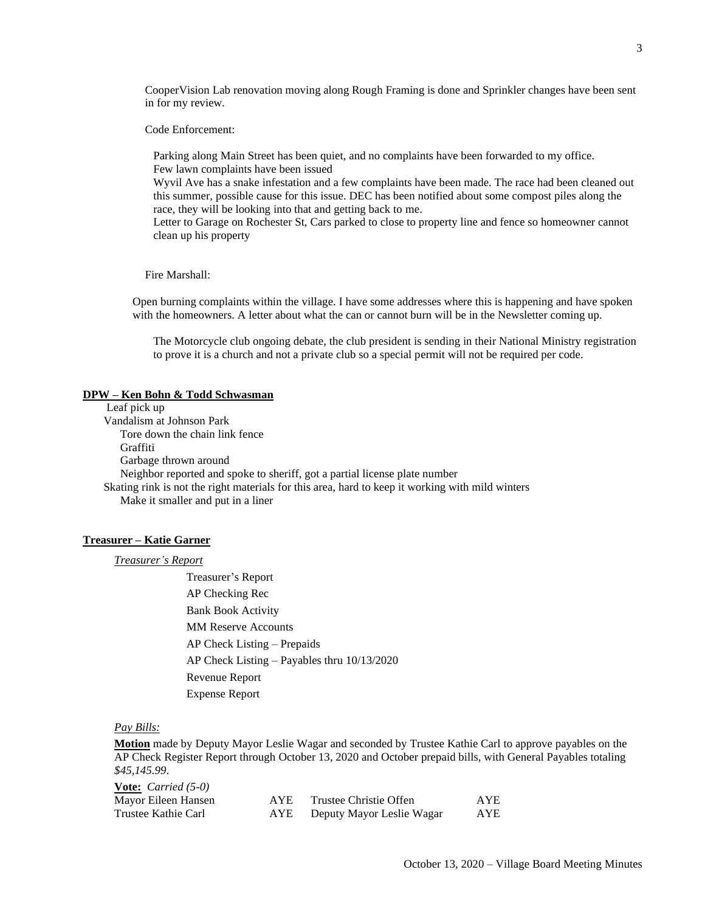Code Enforcement:

Parking along Main Street has been quiet, and no complaints have been forwarded to my office. Few lawn complaints have been issued

Wyvil Ave has a snake infestation and a few complaints have been made. The race had been cleaned out this summer, possible cause for this issue. DEC has been notified about some compost piles along the race, they will be looking into that and getting back to me.

Letter to Garage on Rochester St, Cars parked to close to property line and fence so homeowner cannot clean up his property

Fire Marshall:

Open burning complaints within the village. I have some addresses where this is happening and have spoken with the homeowners. A letter about what the can or cannot burn will be in the Newsletter coming up.

The Motorcycle club ongoing debate, the club president is sending in their National Ministry registration to prove it is a church and not a private club so a special permit will not be required per code.

#### **DPW – Ken Bohn & Todd Schwasman**

Leaf pick up Vandalism at Johnson Park Tore down the chain link fence Graffiti Garbage thrown around Neighbor reported and spoke to sheriff, got a partial license plate number Skating rink is not the right materials for this area, hard to keep it working with mild winters Make it smaller and put in a liner

# **Treasurer – Katie Garner**

*Treasurer's Report*

Treasurer's Report AP Checking Rec Bank Book Activity MM Reserve Accounts AP Check Listing – Prepaids AP Check Listing – Payables thru 10/13/2020 Revenue Report Expense Report

# *Pay Bills:*

**Motion** made by Deputy Mayor Leslie Wagar and seconded by Trustee Kathie Carl to approve payables on the AP Check Register Report through October 13, 2020 and October prepaid bills, with General Payables totaling *\$45,145.99*.

| <b><u>Vote:</u></b> <i>Carried</i> $(5-0)$ |      |                           |            |
|--------------------------------------------|------|---------------------------|------------|
| Mayor Eileen Hansen                        | AYE. | Trustee Christie Offen    | <b>AYE</b> |
| Trustee Kathie Carl                        | AYE  | Deputy Mayor Leslie Wagar | AYE        |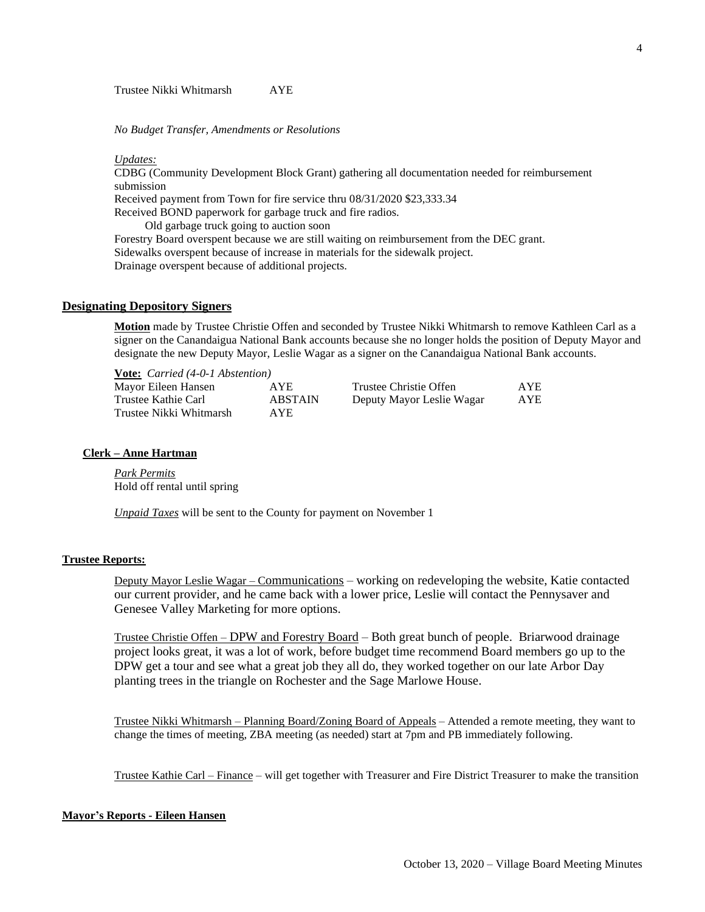### *No Budget Transfer, Amendments or Resolutions*

*Updates:*

CDBG (Community Development Block Grant) gathering all documentation needed for reimbursement submission

Received payment from Town for fire service thru 08/31/2020 \$23,333.34

Received BOND paperwork for garbage truck and fire radios.

Old garbage truck going to auction soon

Forestry Board overspent because we are still waiting on reimbursement from the DEC grant. Sidewalks overspent because of increase in materials for the sidewalk project. Drainage overspent because of additional projects.

# **Designating Depository Signers**

**Motion** made by Trustee Christie Offen and seconded by Trustee Nikki Whitmarsh to remove Kathleen Carl as a signer on the Canandaigua National Bank accounts because she no longer holds the position of Deputy Mayor and designate the new Deputy Mayor, Leslie Wagar as a signer on the Canandaigua National Bank accounts.

| <b>Vote:</b> Carried (4-0-1 Abstention) |                |                           |            |
|-----------------------------------------|----------------|---------------------------|------------|
| Mayor Eileen Hansen                     | AYE.           | Trustee Christie Offen    | <b>AYE</b> |
| Trustee Kathie Carl                     | <b>ABSTAIN</b> | Deputy Mayor Leslie Wagar | AYE        |
| Trustee Nikki Whitmarsh                 | AYE.           |                           |            |

## **Clerk – Anne Hartman**

*Park Permits* Hold off rental until spring

**Vote:** *Carried (4-0-1 Abstention)*

*Unpaid Taxes* will be sent to the County for payment on November 1

# **Trustee Reports:**

Deputy Mayor Leslie Wagar – Communications – working on redeveloping the website, Katie contacted our current provider, and he came back with a lower price, Leslie will contact the Pennysaver and Genesee Valley Marketing for more options.

Trustee Christie Offen – DPW and Forestry Board – Both great bunch of people. Briarwood drainage project looks great, it was a lot of work, before budget time recommend Board members go up to the DPW get a tour and see what a great job they all do, they worked together on our late Arbor Day planting trees in the triangle on Rochester and the Sage Marlowe House.

Trustee Nikki Whitmarsh – Planning Board/Zoning Board of Appeals – Attended a remote meeting, they want to change the times of meeting, ZBA meeting (as needed) start at 7pm and PB immediately following.

Trustee Kathie Carl – Finance – will get together with Treasurer and Fire District Treasurer to make the transition

# **Mayor's Reports - Eileen Hansen**